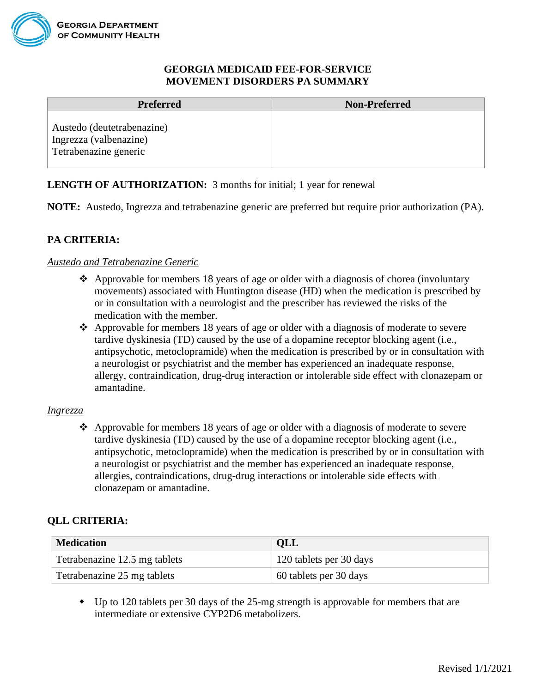### **GEORGIA MEDICAID FEE-FOR-SERVICE MOVEMENT DISORDERS PA SUMMARY**

| <b>Preferred</b>                                                              | <b>Non-Preferred</b> |
|-------------------------------------------------------------------------------|----------------------|
| Austedo (deutetrabenazine)<br>Ingrezza (valbenazine)<br>Tetrabenazine generic |                      |

## **LENGTH OF AUTHORIZATION:** 3 months for initial; 1 year for renewal

**NOTE:** Austedo, Ingrezza and tetrabenazine generic are preferred but require prior authorization (PA).

# **PA CRITERIA:**

### *Austedo and Tetrabenazine Generic*

- $\triangle$  Approvable for members 18 years of age or older with a diagnosis of chorea (involuntary movements) associated with Huntington disease (HD) when the medication is prescribed by or in consultation with a neurologist and the prescriber has reviewed the risks of the medication with the member.
- ❖ Approvable for members 18 years of age or older with a diagnosis of moderate to severe tardive dyskinesia (TD) caused by the use of a dopamine receptor blocking agent (i.e., antipsychotic, metoclopramide) when the medication is prescribed by or in consultation with a neurologist or psychiatrist and the member has experienced an inadequate response, allergy, contraindication, drug-drug interaction or intolerable side effect with clonazepam or amantadine.

### *Ingrezza*

❖ Approvable for members 18 years of age or older with a diagnosis of moderate to severe tardive dyskinesia (TD) caused by the use of a dopamine receptor blocking agent (i.e., antipsychotic, metoclopramide) when the medication is prescribed by or in consultation with a neurologist or psychiatrist and the member has experienced an inadequate response, allergies, contraindications, drug-drug interactions or intolerable side effects with clonazepam or amantadine.

## **QLL CRITERIA:**

| <b>Medication</b>             | QLL                     |
|-------------------------------|-------------------------|
| Tetrabenazine 12.5 mg tablets | 120 tablets per 30 days |
| Tetrabenazine 25 mg tablets   | 60 tablets per 30 days  |

 Up to 120 tablets per 30 days of the 25-mg strength is approvable for members that are intermediate or extensive CYP2D6 metabolizers.